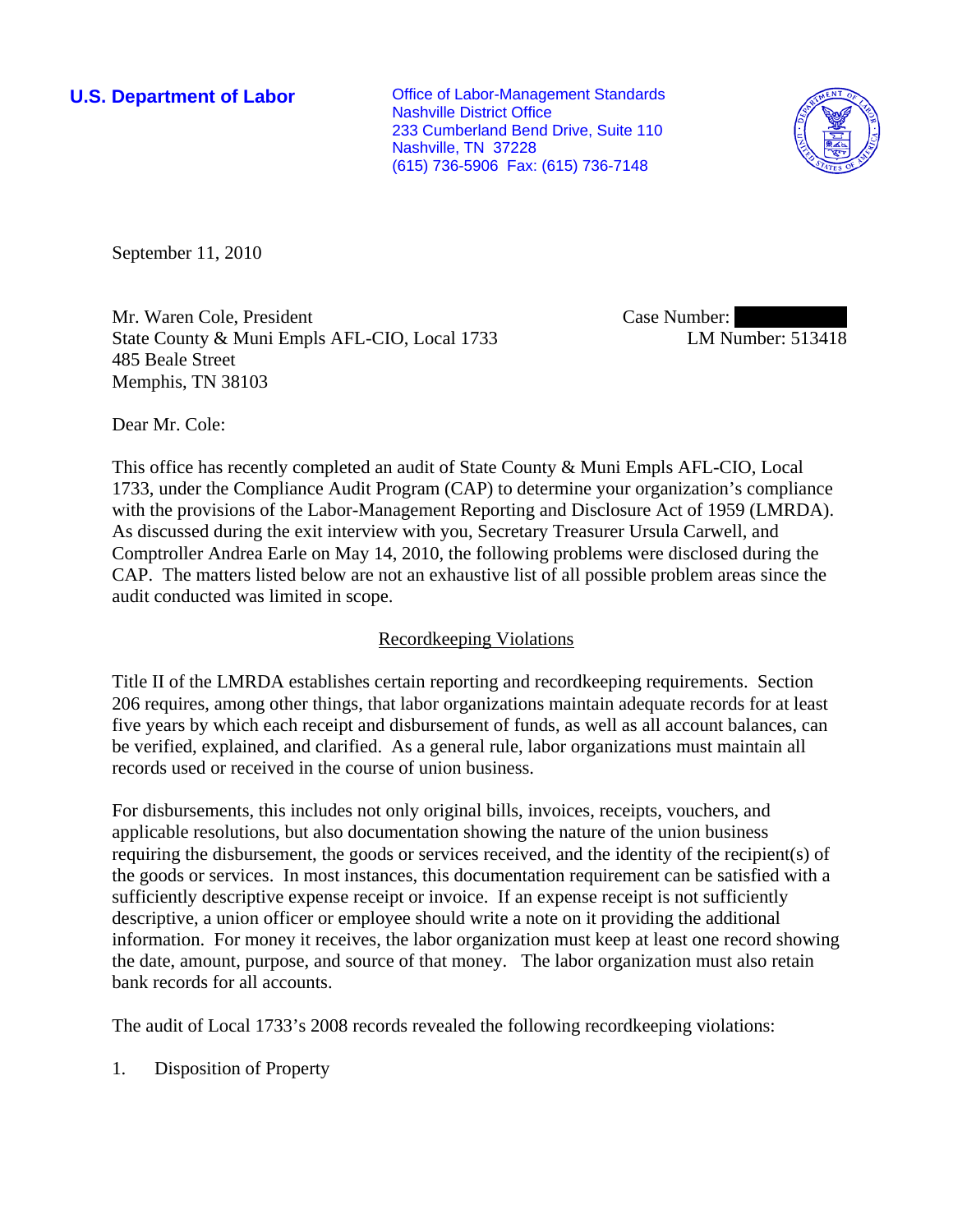**U.S. Department of Labor Conservative Conservative Conservative Conservative Conservative Conservative Conservative Conservative Conservative Conservative Conservative Conservative Conservative Conservative Conservative** Nashville District Office 233 Cumberland Bend Drive, Suite 110 Nashville, TN 37228 (615) 736-5906 Fax: (615) 736-7148



September 11, 2010

Mr. Waren Cole, President State County & Muni Empls AFL-CIO, Local 1733 485 Beale Street Memphis, TN 38103

Case Number: LM Number: 513418

Dear Mr. Cole:

This office has recently completed an audit of State County & Muni Empls AFL-CIO, Local 1733, under the Compliance Audit Program (CAP) to determine your organization's compliance with the provisions of the Labor-Management Reporting and Disclosure Act of 1959 (LMRDA). As discussed during the exit interview with you, Secretary Treasurer Ursula Carwell, and Comptroller Andrea Earle on May 14, 2010, the following problems were disclosed during the CAP. The matters listed below are not an exhaustive list of all possible problem areas since the audit conducted was limited in scope.

# Recordkeeping Violations

Title II of the LMRDA establishes certain reporting and recordkeeping requirements. Section 206 requires, among other things, that labor organizations maintain adequate records for at least five years by which each receipt and disbursement of funds, as well as all account balances, can be verified, explained, and clarified. As a general rule, labor organizations must maintain all records used or received in the course of union business.

For disbursements, this includes not only original bills, invoices, receipts, vouchers, and applicable resolutions, but also documentation showing the nature of the union business requiring the disbursement, the goods or services received, and the identity of the recipient(s) of the goods or services. In most instances, this documentation requirement can be satisfied with a sufficiently descriptive expense receipt or invoice. If an expense receipt is not sufficiently descriptive, a union officer or employee should write a note on it providing the additional information. For money it receives, the labor organization must keep at least one record showing the date, amount, purpose, and source of that money. The labor organization must also retain bank records for all accounts.

The audit of Local 1733's 2008 records revealed the following recordkeeping violations:

1. Disposition of Property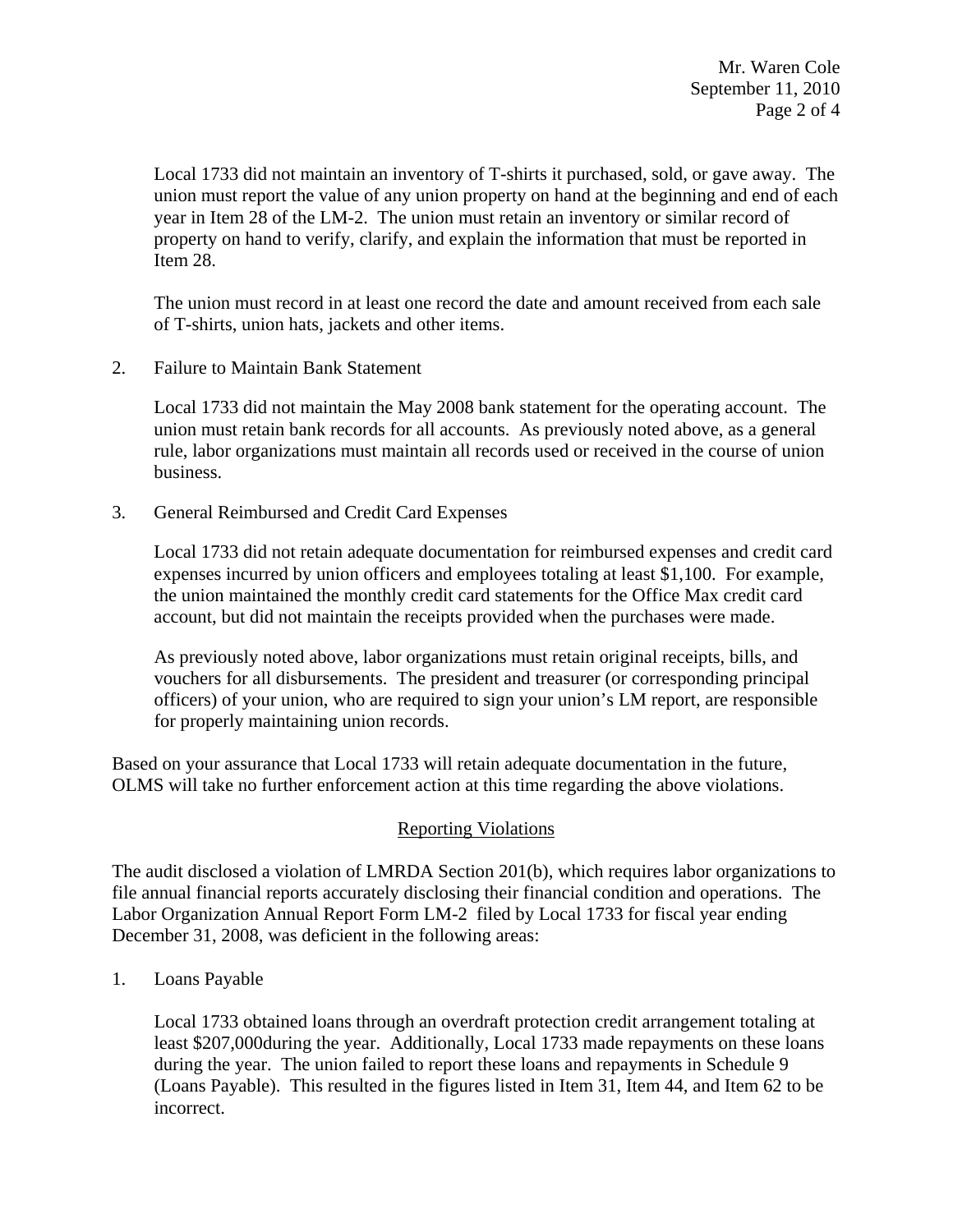Mr. Waren Cole September 11, 2010 Page 2 of 4

Local 1733 did not maintain an inventory of T-shirts it purchased, sold, or gave away. The union must report the value of any union property on hand at the beginning and end of each year in Item 28 of the LM-2. The union must retain an inventory or similar record of property on hand to verify, clarify, and explain the information that must be reported in Item 28.

The union must record in at least one record the date and amount received from each sale of T-shirts, union hats, jackets and other items.

2. Failure to Maintain Bank Statement

Local 1733 did not maintain the May 2008 bank statement for the operating account. The union must retain bank records for all accounts. As previously noted above, as a general rule, labor organizations must maintain all records used or received in the course of union business.

3. General Reimbursed and Credit Card Expenses

Local 1733 did not retain adequate documentation for reimbursed expenses and credit card expenses incurred by union officers and employees totaling at least \$1,100. For example, the union maintained the monthly credit card statements for the Office Max credit card account, but did not maintain the receipts provided when the purchases were made.

As previously noted above, labor organizations must retain original receipts, bills, and vouchers for all disbursements. The president and treasurer (or corresponding principal officers) of your union, who are required to sign your union's LM report, are responsible for properly maintaining union records.

Based on your assurance that Local 1733 will retain adequate documentation in the future, OLMS will take no further enforcement action at this time regarding the above violations.

# Reporting Violations

The audit disclosed a violation of LMRDA Section 201(b), which requires labor organizations to file annual financial reports accurately disclosing their financial condition and operations. The Labor Organization Annual Report Form LM-2 filed by Local 1733 for fiscal year ending December 31, 2008, was deficient in the following areas:

1. Loans Payable

Local 1733 obtained loans through an overdraft protection credit arrangement totaling at least \$207,000during the year. Additionally, Local 1733 made repayments on these loans during the year. The union failed to report these loans and repayments in Schedule 9 (Loans Payable). This resulted in the figures listed in Item 31, Item 44, and Item 62 to be incorrect.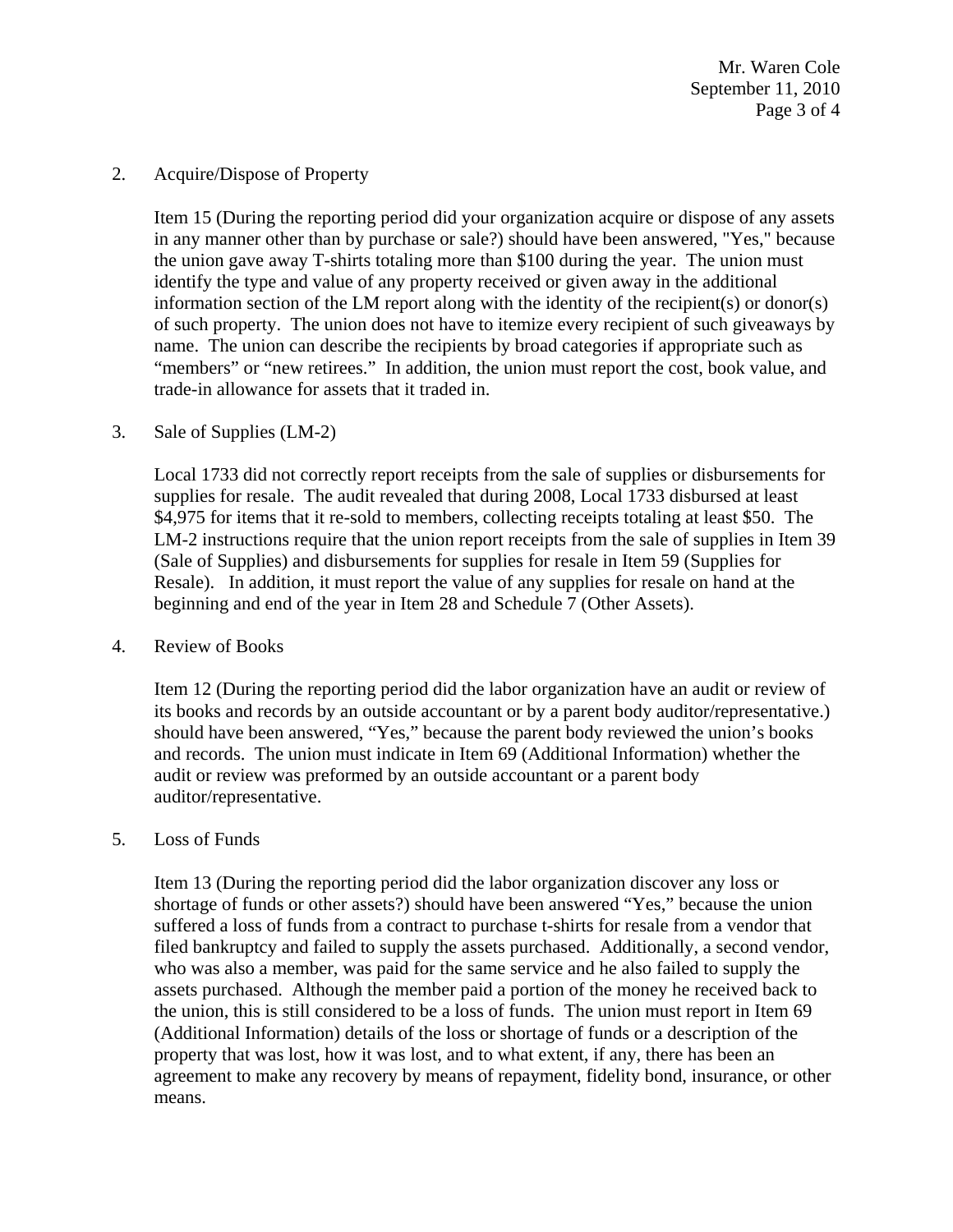Mr. Waren Cole September 11, 2010 Page 3 of 4

### 2. Acquire/Dispose of Property

Item 15 (During the reporting period did your organization acquire or dispose of any assets in any manner other than by purchase or sale?) should have been answered, "Yes," because the union gave away T-shirts totaling more than \$100 during the year. The union must identify the type and value of any property received or given away in the additional information section of the LM report along with the identity of the recipient(s) or donor(s) of such property. The union does not have to itemize every recipient of such giveaways by name. The union can describe the recipients by broad categories if appropriate such as "members" or "new retirees." In addition, the union must report the cost, book value, and trade-in allowance for assets that it traded in.

## 3. Sale of Supplies (LM-2)

Local 1733 did not correctly report receipts from the sale of supplies or disbursements for supplies for resale. The audit revealed that during 2008, Local 1733 disbursed at least \$4,975 for items that it re-sold to members, collecting receipts totaling at least \$50. The LM-2 instructions require that the union report receipts from the sale of supplies in Item 39 (Sale of Supplies) and disbursements for supplies for resale in Item 59 (Supplies for Resale). In addition, it must report the value of any supplies for resale on hand at the beginning and end of the year in Item 28 and Schedule 7 (Other Assets).

#### 4. Review of Books

Item 12 (During the reporting period did the labor organization have an audit or review of its books and records by an outside accountant or by a parent body auditor/representative.) should have been answered, "Yes," because the parent body reviewed the union's books and records. The union must indicate in Item 69 (Additional Information) whether the audit or review was preformed by an outside accountant or a parent body auditor/representative.

#### 5. Loss of Funds

Item 13 (During the reporting period did the labor organization discover any loss or shortage of funds or other assets?) should have been answered "Yes," because the union suffered a loss of funds from a contract to purchase t-shirts for resale from a vendor that filed bankruptcy and failed to supply the assets purchased. Additionally, a second vendor, who was also a member, was paid for the same service and he also failed to supply the assets purchased. Although the member paid a portion of the money he received back to the union, this is still considered to be a loss of funds. The union must report in Item 69 (Additional Information) details of the loss or shortage of funds or a description of the property that was lost, how it was lost, and to what extent, if any, there has been an agreement to make any recovery by means of repayment, fidelity bond, insurance, or other means.